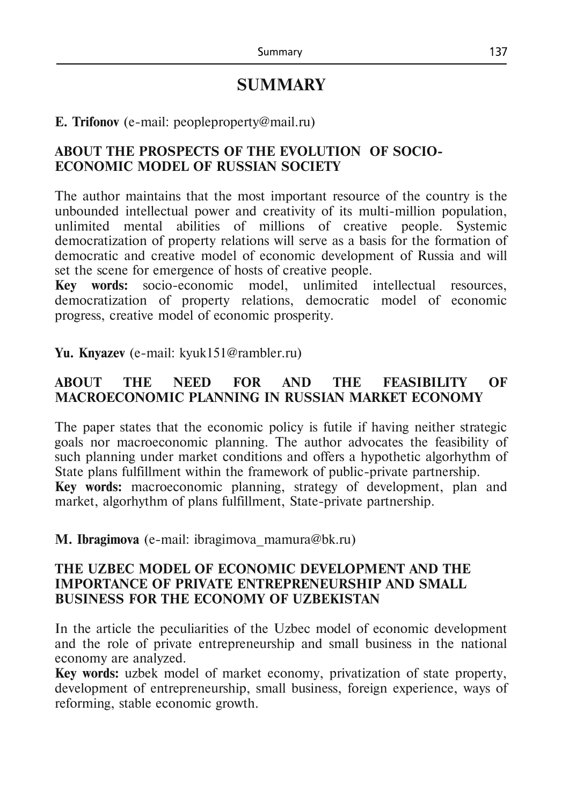# **SUMMARY**

#### **E. Trifonov** (e-mail: [peopleproperty@mail.ru\)](mailto:peopleproperty@mail.ru)

# **ABOUT THE PROSPECTS OF THE EVOLUTION OF SOCIO-ECONOMIC MODEL OF RUSSIAN SOCIETY**

The author maintains that the most important resource of the country is the unbounded intellectual power and creativity of its multi-million population, unlimited mental abilities of millions of creative people. Systemic democratization of property relations will serve as a basis for the formation of democratic and creative model of economic development of Russia and will set the scene for emergence of hosts of creative people.

**Key words:** socio-economic model, unlimited intellectual resources, democratization of property relations, democratic model of economic progress, creative model of economic prosperity.

**Yu. Knyazev** (e-mail: kyuk151@rambler.ru)

# **ABOUT THE NEED FOR AND THE FEASIBILITY OF MACROECONOMIC PLANNING IN RUSSIAN MARKET ECONOMY**

The paper states that the economic policy is futile if having neither strategic goals nor macroeconomic planning. The author advocates the feasibility of such planning under market conditions and offers a hypothetic algorhythm of State plans fulfillment within the framework of public-private partnership. **Key words:** macroeconomic planning, strategy of development, plan and market, algorhythm of plans fulfillment, State-private partnership.

**М. Ibragimova** (e-mail: [ibragimova\\_mamura@bk.ru\)](mailto:ibragimova_mamura@bk.ru)

#### **THE UZBEC MODEL OF ECONOMIC DEVELOPMENT AND THE IMPORTANCE OF PRIVATE ENTREPRENEURSHIP AND SMALL BUSINESS FOR THE ECONOMY OF UZBEKISTAN**

In the article the peculiarities of the Uzbec model of economic development and the role of private entrepreneurship and small business in the national economy are analyzed.

**Key words:** uzbek model of market economy, privatization of state property, development of entrepreneurship, small business, foreign experience, ways of reforming, stable economic growth.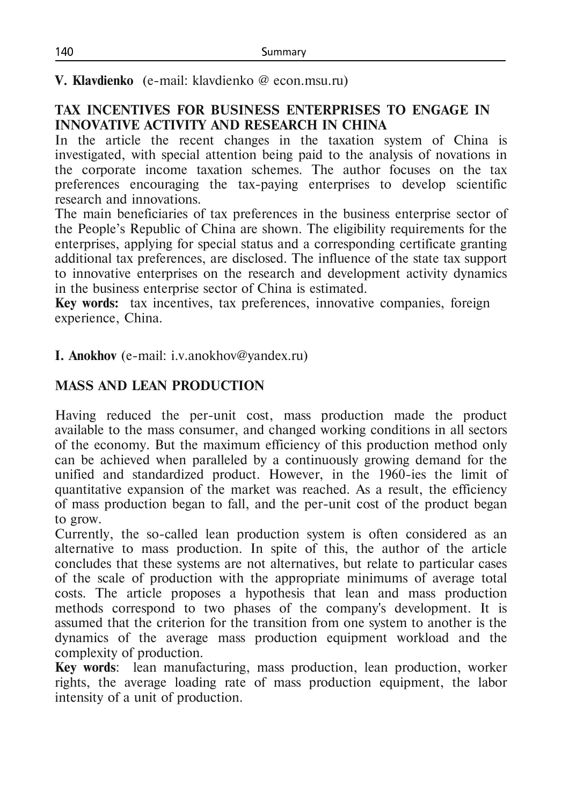**V. Klavdienko** (e-mail: klavdienko @ econ.msu.ru)

# **TAX INCENTIVES FOR BUSINESS ENTERPRISES TO ENGAGE IN INNOVATIVE ACTIVITY AND RESEARCH IN CHINA**

In the article the recent changes in the taxation system of China is investigated, with special attention being paid to the analysis of novations in the corporate income taxation schemes. The author focuses on the tax preferences encouraging the tax-paying enterprises to develop scientific research and innovations.

The main beneficiaries of tax preferences in the business enterprise sector of the People's Republic of China are shown. The eligibility requirements for the enterprises, applying for special status and a corresponding certificate granting additional tax preferences, are disclosed. The influence of the state tax support to innovative enterprises on the research and development activity dynamics in the business enterprise sector of China is estimated.

**Кey words:** tax incentives, tax preferences, innovative companies, foreign experience, China.

**I. Anokhov** (e-mail: i.v.anokhov@yandex.ru)

# **MASS AND LEAN PRODUCTION**

Having reduced the per-unit cost, mass production made the product available to the mass consumer, and changed working conditions in all sectors of the economy. But the maximum efficiency of this production method only can be achieved when paralleled by a continuously growing demand for the unified and standardized product. However, in the 1960-ies the limit of quantitative expansion of the market was reached. As a result, the efficiency of mass production began to fall, and the per-unit cost of the product began to grow.

Currently, the so-called lean production system is often considered as an alternative to mass production. In spite of this, the author of the article concludes that these systems are not alternatives, but relate to particular cases of the scale of production with the appropriate minimums of average total costs. The article proposes a hypothesis that lean and mass production methods correspond to two phases of the company's development. It is assumed that the criterion for the transition from one system to another is the dynamics of the average mass production equipment workload and the complexity of production.

**Key words**: lean manufacturing, mass production, lean production, worker rights, the average loading rate of mass production equipment, the labor intensity of a unit of production.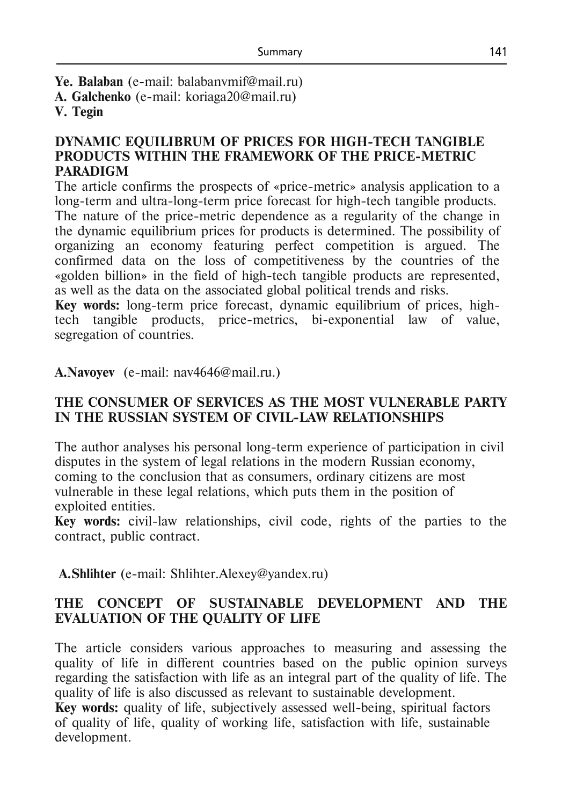**Ye. Balaban** (e-mail: [balabanvmif@mail.ru\)](mailto:balabanvmif@mail.ru) **А. Galchenko** (e-mail: koriaga20@mail.ru) **V. Tegin**

#### **DYNAMIC EQUILIBRUM OF PRICES FOR HIGH-TECH TANGIBLE PRODUCTS WITHIN THE FRAMEWORK OF THE PRICE-METRIC PARADIGM**

The article confirms the prospects of «price-metric» analysis application to a long-term and ultra-long-term price forecast for high-tech tangible products. The nature of the price-metric dependence as a regularity of the change in the dynamic equilibrium prices for products is determined. The possibility of organizing an economy featuring perfect competition is argued. The confirmed data on the loss of competitiveness by the countries of the «golden billion» in the field of high-tech tangible products are represented, as well as the data on the associated global political trends and risks.

**Key words:** long-term price forecast, dynamic equilibrium of prices, hightech tangible products, price-metrics, bi-exponential law of value, segregation of countries.

**A.Navoyev** (е-mail: nav4646@mail.ru.)

#### **THE CONSUMER OF SERVICES AS THE MOST VULNERABLE PARTY IN THE RUSSIAN SYSTEM OF CIVIL-LAW RELATIONSHIPS**

The author analyses his personal long-term experience of participation in civil disputes in the system of legal relations in the modern Russian economy, coming to the conclusion that as consumers, ordinary citizens are most vulnerable in these legal relations, which puts them in the position of exploited entities.

**Key words:** civil-law relationships, civil code, rights of the parties to the contract, public contract.

**A.Shlihter** (e-mail: Shlihter.Alexey@yandex.ru)

## **THE CONCEPT OF SUSTAINABLE DEVELOPMENT AND THE EVALUATION OF THE QUALITY OF LIFE**

The article considers various approaches to measuring and assessing the quality of life in different countries based on the public opinion surveys regarding the satisfaction with life as an integral part of the quality of life. The quality of life is also discussed as relevant to sustainable development.

**Key words:** quality of life, subjectively assessed well-being, spiritual factors of quality of life, quality of working life, satisfaction with life, sustainable development.